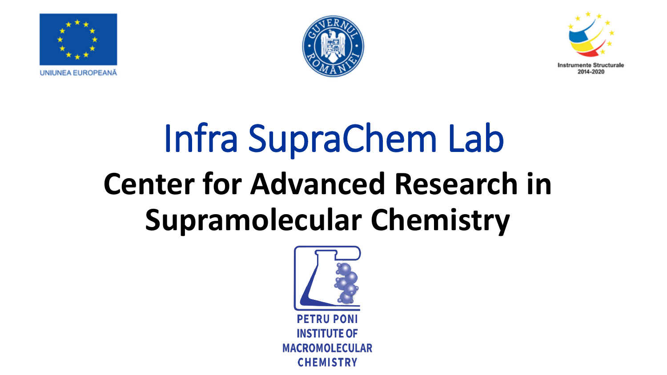





# Infra SupraChem Lab **Center for Advanced Research in Supramolecular Chemistry**

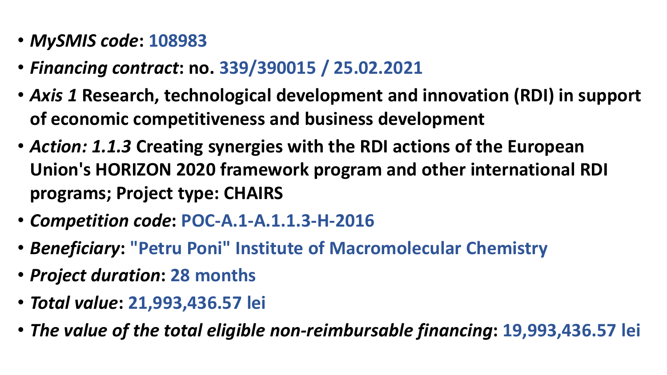- *MySMIS code***: 108983**
- *Financing contract***: no. 339/390015 / 25.02.2021**
- *Axis 1* **Research, technological development and innovation (RDI) in support of economic competitiveness and business development**
- *Action: 1.1.3* **Creating synergies with the RDI actions of the European Union's HORIZON 2020 framework program and other international RDI programs; Project type: CHAIRS**
- *Competition code***: POC-A.1-A.1.1.3-H-2016**
- *Beneficiary***: "Petru Poni" Institute of Macromolecular Chemistry**
- *Project duration***: 28 months**
- *Total value***: 21,993,436.57 lei**
- *The value of the total eligible non-reimbursable financing***: 19,993,436.57 lei**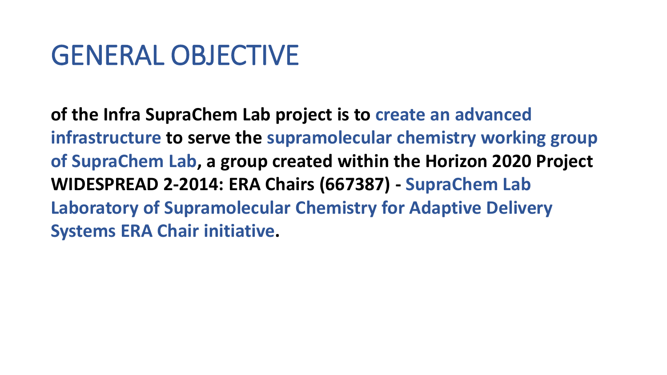### GENERAL OBJECTIVE

**of the Infra SupraChem Lab project is to create an advanced infrastructure to serve the supramolecular chemistry working group of SupraChem Lab, a group created within the Horizon 2020 Project WIDESPREAD 2-2014: ERA Chairs (667387) - SupraChem Lab Laboratory of Supramolecular Chemistry for Adaptive Delivery Systems ERA Chair initiative.**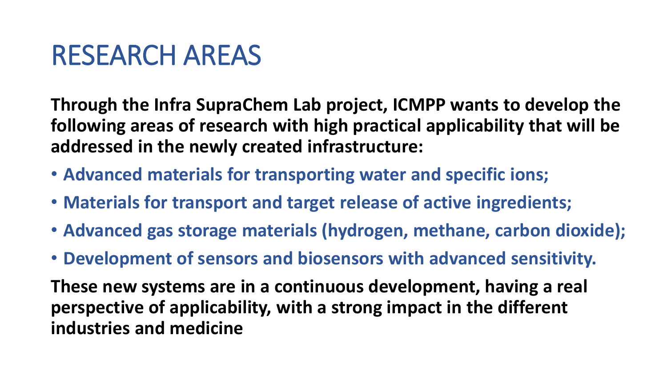### RESEARCH AREAS

**Through the Infra SupraChem Lab project, ICMPP wants to develop the following areas of research with high practical applicability that will be addressed in the newly created infrastructure:** 

- **Advanced materials for transporting water and specific ions;**
- **Materials for transport and target release of active ingredients;**
- **Advanced gas storage materials (hydrogen, methane, carbon dioxide);**
- **Development of sensors and biosensors with advanced sensitivity.**

**These new systems are in a continuous development, having a real perspective of applicability, with a strong impact in the different industries and medicine**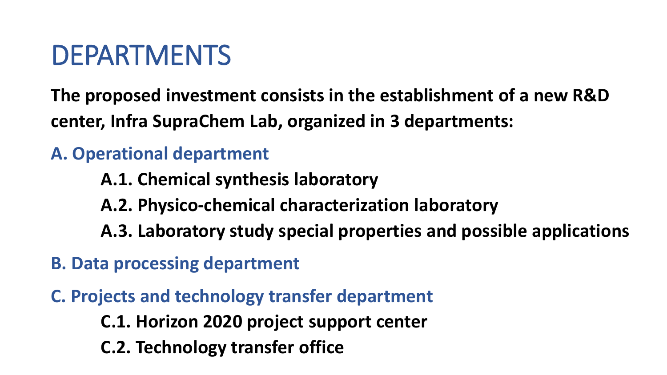## DEPARTMENTS

**The proposed investment consists in the establishment of a new R&D center, Infra SupraChem Lab, organized in 3 departments:** 

#### **A. Operational department**

**A.1. Chemical synthesis laboratory**

**A.2. Physico-chemical characterization laboratory**

**A.3. Laboratory study special properties and possible applications** 

**B. Data processing department**

**C. Projects and technology transfer department**

**C.1. Horizon 2020 project support center**

**C.2. Technology transfer office**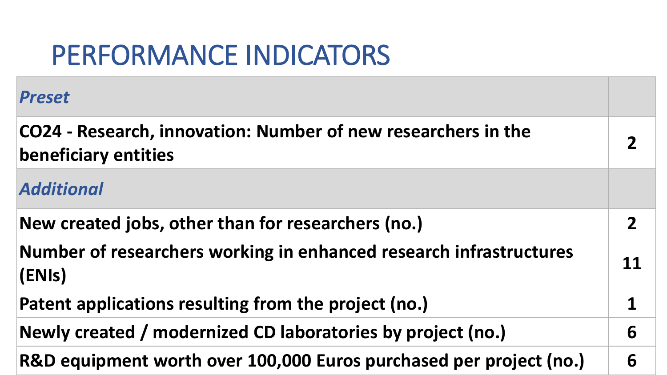### PERFORMANCE INDICATORS

| <b>Preset</b>                                                                                |    |
|----------------------------------------------------------------------------------------------|----|
| CO24 - Research, innovation: Number of new researchers in the<br><b>beneficiary entities</b> |    |
| <b>Additional</b>                                                                            |    |
| New created jobs, other than for researchers (no.)                                           | 2  |
| Number of researchers working in enhanced research infrastructures<br>(ENIs)                 | 11 |
| Patent applications resulting from the project (no.)                                         |    |
| Newly created / modernized CD laboratories by project (no.)                                  | 6  |
| R&D equipment worth over 100,000 Euros purchased per project (no.)                           | 6  |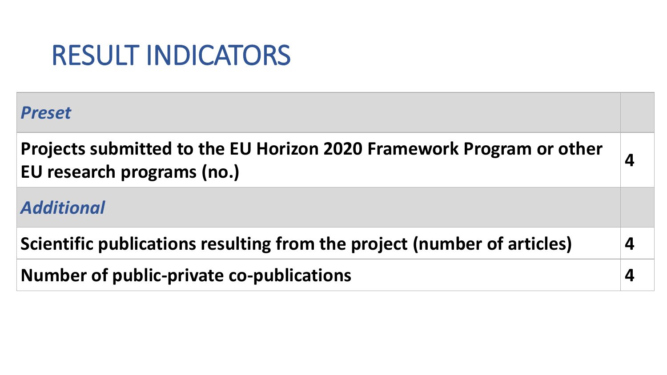### RESULT INDICATORS

| <b>Preset</b>                                                                                      |   |
|----------------------------------------------------------------------------------------------------|---|
| Projects submitted to the EU Horizon 2020 Framework Program or other<br>EU research programs (no.) | 4 |
| <b>Additional</b>                                                                                  |   |
| Scientific publications resulting from the project (number of articles)                            | 4 |
| Number of public-private co-publications                                                           | 4 |